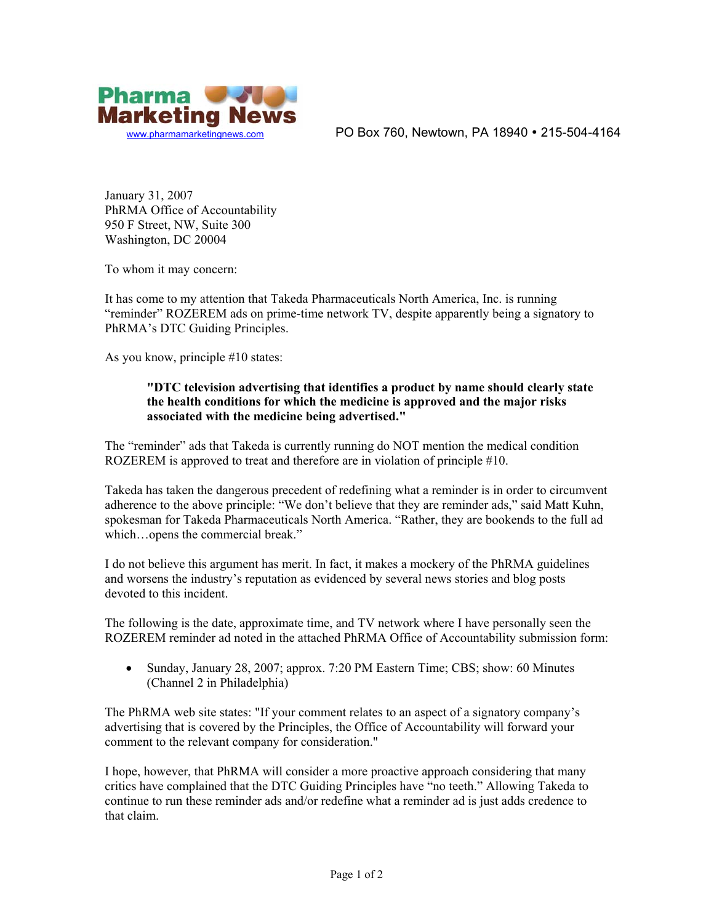

[www.pharmamarketingnews.com](http://www.pharmamarketingnews.com/) **PO Box 760, Newtown, PA 18940 • 215-504-4164** 

January 31, 2007 PhRMA Office of Accountability 950 F Street, NW, Suite 300 Washington, DC 20004

To whom it may concern:

It has come to my attention that Takeda Pharmaceuticals North America, Inc. is running "reminder" ROZEREM ads on prime-time network TV, despite apparently being a signatory to PhRMA's DTC Guiding Principles.

As you know, principle #10 states:

## **"DTC television advertising that identifies a product by name should clearly state the health conditions for which the medicine is approved and the major risks associated with the medicine being advertised."**

The "reminder" ads that Takeda is currently running do NOT mention the medical condition ROZEREM is approved to treat and therefore are in violation of principle #10.

Takeda has taken the dangerous precedent of redefining what a reminder is in order to circumvent adherence to the above principle: "We don't believe that they are reminder ads," said Matt Kuhn, spokesman for Takeda Pharmaceuticals North America. "Rather, they are bookends to the full ad which…opens the commercial break."

I do not believe this argument has merit. In fact, it makes a mockery of the PhRMA guidelines and worsens the industry's reputation as evidenced by several news stories and blog posts devoted to this incident.

The following is the date, approximate time, and TV network where I have personally seen the ROZEREM reminder ad noted in the attached PhRMA Office of Accountability submission form:

• Sunday, January 28, 2007; approx. 7:20 PM Eastern Time; CBS; show: 60 Minutes (Channel 2 in Philadelphia)

The PhRMA web site states: "If your comment relates to an aspect of a signatory company's advertising that is covered by the Principles, the Office of Accountability will forward your comment to the relevant company for consideration."

I hope, however, that PhRMA will consider a more proactive approach considering that many critics have complained that the DTC Guiding Principles have "no teeth." Allowing Takeda to continue to run these reminder ads and/or redefine what a reminder ad is just adds credence to that claim.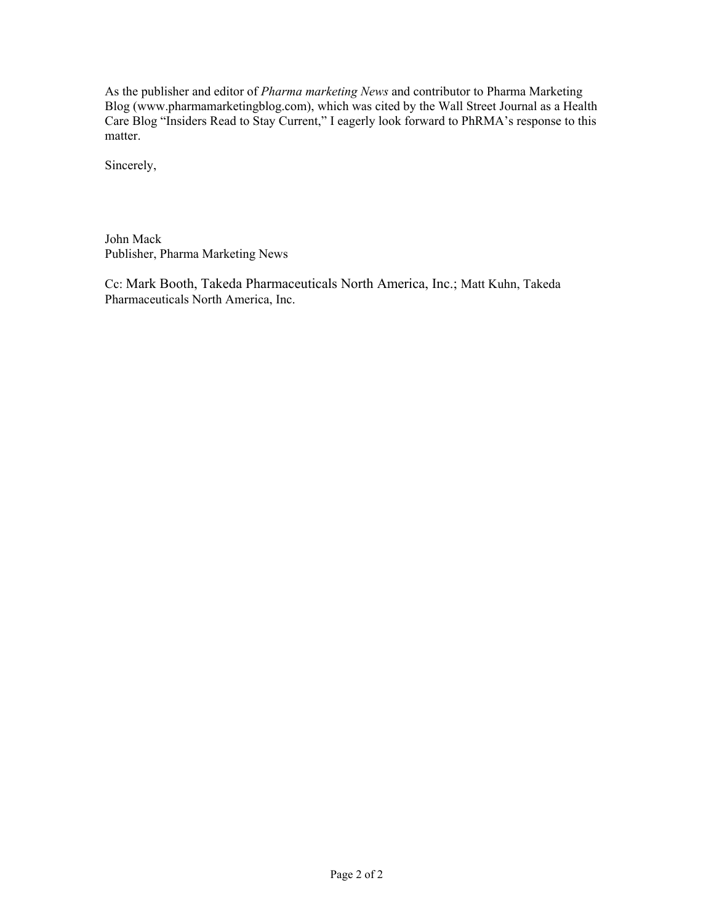As the publisher and editor of *Pharma marketing News* and contributor to Pharma Marketing Blog (www.pharmamarketingblog.com), which was cited by the Wall Street Journal as a Health Care Blog "Insiders Read to Stay Current," I eagerly look forward to PhRMA's response to this matter.

Sincerely,

John Mack Publisher, Pharma Marketing News

Cc: Mark Booth, Takeda Pharmaceuticals North America, Inc.; Matt Kuhn, Takeda Pharmaceuticals North America, Inc.